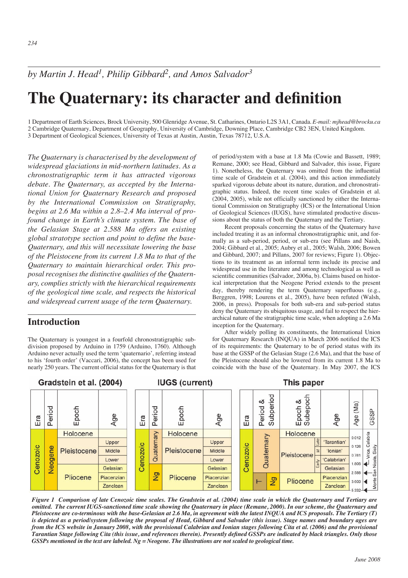*by Martin J. Head1, Philip Gibbard2, and Amos Salvador3*

# **The Quaternary: its character and definition**

1 Department of Earth Sciences, Brock University, 500 Glenridge Avenue, St. Catharines, Ontario L2S 3A1, Canada.*E-mail: mjhead@brocku.ca* 2 Cambridge Quaternary, Department of Geography, University of Cambridge, Downing Place, Cambridge CB2 3EN, United Kingdom. 3 Department of Geological Sciences, University of Texas at Austin, Austin, Texas 78712, U.S.A.

*The Quaternary is characterised by the development of widespread glaciations in mid-northern latitudes. As a chronostratigraphic term it has attracted vigorous debate. The Quaternary, as accepted by the International Union for Quaternary Research and proposed by the International Commission on Stratigraphy, begins at 2.6 Ma within a 2.8–2.4 Ma interval of profound change in Earth's climate system. The base of the Gelasian Stage at 2.588 Ma offers an existing global stratotype section and point to define the base-Quaternary, and this will necessitate lowering the base of the Pleistocene from its current 1.8 Ma to that of the Quaternary to maintain hierarchical order. This proposal recognises the distinctive qualities of the Quaternary, complies strictly with the hierarchical requirements of the geological time scale, and respects the historical and widespread current usage of the term Quaternary.*

#### **Introduction**

The Quaternary is youngest in a fourfold chronostratigraphic subdivision proposed by Arduino in 1759 (Arduino, 1760). Although Arduino never actually used the term 'quaternario', referring instead to his 'fourth order' (Vaccari, 2006), the concept has been used for nearly 250 years. The current official status for the Quaternary is that of period/system with a base at 1.8 Ma (Cowie and Bassett, 1989; Remane, 2000; see Head, Gibbard and Salvador, this issue, Figure 1). Nonetheless, the Quaternary was omitted from the influential time scale of Gradstein et al. (2004), and this action immediately sparked vigorous debate about its nature, duration, and chronostratigraphic status. Indeed, the recent time scales of Gradstein et al. (2004, 2005), while not officially sanctioned by either the International Commission on Stratigraphy (ICS) or the International Union of Geological Sciences (IUGS), have stimulated productive discussions about the status of both the Quaternary and the Tertiary.

Recent proposals concerning the status of the Quaternary have included treating it as an informal chronostratigraphic unit, and formally as a sub-period, period, or sub-era (see Pillans and Naish, 2004; Gibbard et al., 2005; Aubry et al., 2005; Walsh, 2006; Bowen and Gibbard, 2007; and Pillans, 2007 for reviews; Figure 1). Objections to its treatment as an informal term include its precise and widespread use in the literature and among technological as well as scientific communities (Salvador, 2006a, b). Claims based on historical interpretation that the Neogene Period extends to the present day, thereby rendering the term Quaternary superfluous (e.g., Berggren, 1998; Lourens et al., 2005), have been refuted (Walsh, 2006, in press). Proposals for both sub-era and sub-period status deny the Quaternary its ubiquitous usage, and fail to respect the hierarchical nature of the stratigraphic time scale, when adopting a 2.6 Ma inception for the Quaternary.

After widely polling its constituents, the International Union for Quaternary Research (INQUA) in March 2006 notified the ICS of its requirements: the Quaternary to be of period status with its base at the GSSP of the Gelasian Stage (2.6 Ma), and that the base of the Pleistocene should also be lowered from its current 1.8 Ma to coincide with the base of the Quaternary. In May 2007, the ICS



*Figure 1 Comparison of late Cenozoic time scales. The Gradstein et al. (2004) time scale in which the Quaternary and Tertiary are omitted. The current IUGS-sanctioned time scale showing the Quaternary in place (Remane, 2000). In our scheme, the Quaternary and Pleistocene are co-terminous with the base-Gelasian at 2.6 Ma, in agreement with the latest INQUA and ICS proposals. The Tertiary (T) is depicted as a period/system following the proposal of Head, Gibbard and Salvador (this issue). Stage names and boundary ages are from the ICS website in January 2008, with the provisional Calabrian and Ionian stages following Cita et al. (2006) and the provisional Tarantian Stage following Cita (this issue, and references therein). Presently defined GSSPs are indicated by black triangles. Only those* GSSPs mentioned in the text are labeled.  $Ng = Neogene$ . The illustrations are not scaled to geological time.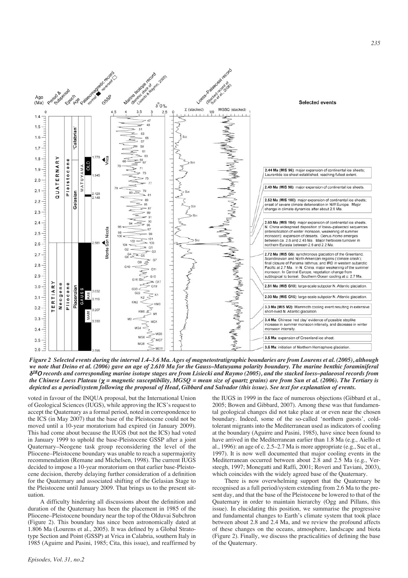

*Figure 2 Selected events during the interval 1.4–3.6 Ma. Ages of magnetostratigraphic boundaries are from Lourens et al. (2005), although we note that Deino et al. (2006) gave an age of 2.610 Ma for the Gauss–Matuyama polarity boundary. The marine benthic foraminiferal* !<sup>18</sup>" *records and corresponding marine isotope stages are from Lisiecki and Raymo (2005), and the stacked loess–palaeosol records from the Chinese Loess Plateau* ( $\chi$  = magnetic susceptibility, MGSQ = mean size of quartz grains) are from Sun et al. (2006). The Tertiary is *depicted as a period/system following the proposal of Head, Gibbard and Salvador (this issue). See text for explanation of events.*

voted in favour of the INQUA proposal, but the International Union of Geological Sciences (IUGS), while approving the ICS's request to accept the Quaternary as a formal period, noted in correspondence to the ICS (in May 2007) that the base of the Pleistocene could not be moved until a 10-year moratorium had expired (in January 2009). This had come about because the IUGS (but not the ICS) had voted in January 1999 to uphold the base-Pleistocene GSSP after a joint Quaternary–Neogene task group reconsidering the level of the Pliocene–Pleistocene boundary was unable to reach a supermajority recommendation (Remane and Michelsen, 1998). The current IUGS decided to impose a 10-year moratorium on that earlier base-Pleistocene decision, thereby delaying further consideration of a definition for the Quaternary and associated shifting of the Gelasian Stage to the Pleistocene until January 2009. That brings us to the present situation.

A difficulty hindering all discussions about the definition and duration of the Quaternary has been the placement in 1985 of the Pliocene–Pleistocene boundary near the top of the Olduvai Subchron (Figure 2). This boundary has since been astronomically dated at 1.806 Ma (Lourens et al., 2005). It was defined by a Global Stratotype Section and Point (GSSP) at Vrica in Calabria, southern Italy in 1985 (Aguirre and Pasini, 1985; Cita, this issue), and reaffirmed by

the IUGS in 1999 in the face of numerous objections (Gibbard et al., 2005; Bowen and Gibbard, 2007). Among these was that fundamental geological changes did not take place at or even near the chosen boundary. Indeed, some of the so-called 'northern guests', coldtolerant migrants into the Mediterranean used as indicators of cooling at the boundary (Aguirre and Pasini, 1985), have since been found to have arrived in the Mediterranean earlier than 1.8 Ma (e.g., Aiello et al., 1996): an age of c. 2.5–2.7 Ma is more appropriate (e.g., Suc et al., 1997). It is now well documented that major cooling events in the Mediterranean occurred between about 2.8 and 2.5 Ma (e.g., Versteegh, 1997; Monegatti and Raffi, 2001; Roveri and Taviani, 2003), which coincides with the widely agreed base of the Quaternary.

There is now overwhelming support that the Quaternary be recognised as a full period/system extending from 2.6 Ma to the present day, and that the base of the Pleistocene be lowered to that of the Quaternary in order to maintain hierarchy (Ogg and Pillans, this issue). In elucidating this position, we summarise the progressive and fundamental changes to Earth's climate system that took place between about 2.8 and 2.4 Ma, and we review the profound affects of these changes on the oceans, atmosphere, landscape and biota (Figure 2). Finally, we discuss the practicalities of defining the base of the Quaternary.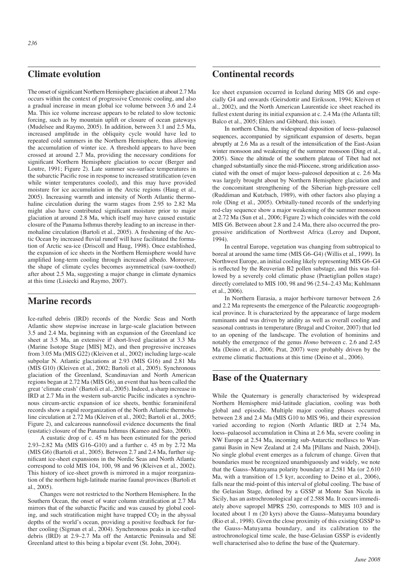## **Climate evolution**

The onset of significant Northern Hemisphere glaciation at about 2.7 Ma occurs within the context of progressive Cenozoic cooling, and also a gradual increase in mean global ice volume between 3.6 and 2.4 Ma. This ice volume increase appears to be related to slow tectonic forcing, such as by mountain uplift or closure of ocean gateways (Mudelsee and Raymo, 2005). In addition, between 3.1 and 2.5 Ma, increased amplitude in the obliquity cycle would have led to repeated cold summers in the Northern Hemisphere, thus allowing the accumulation of winter ice. A threshold appears to have been crossed at around 2.7 Ma, providing the necessary conditions for significant Northern Hemisphere glaciation to occur (Berger and Loutre, 1991; Figure 2). Late summer sea-surface temperatures in the subarctic Pacific rose in response to increased stratification (even while winter temperatures cooled), and this may have provided moisture for ice accumulation in the Arctic regions (Haug et al., 2005). Increasing warmth and intensity of North Atlantic thermohaline circulation during the warm stages from 2.95 to 2.82 Ma might also have contributed significant moisture prior to major glaciation at around 2.8 Ma, which itself may have caused eustatic closure of the Panama Isthmus thereby leading to an increase in thermohaline circulation (Bartoli et al., 2005). A freshening of the Arctic Ocean by increased fluvial runoff will have facilitated the formation of Arctic sea-ice (Driscoll and Haug, 1998). Once established, the expansion of ice sheets in the Northern Hemisphere would have amplified long-term cooling through increased albedo. Moreover, the shape of climate cycles becomes asymmetrical (saw-toothed) after about 2.5 Ma, suggesting a major change in climate dynamics at this time (Lisiecki and Raymo, 2007).

# **Marine records**

Ice-rafted debris (IRD) records of the Nordic Seas and North Atlantic show stepwise increase in large-scale glaciation between 3.5 and 2.4 Ma, beginning with an expansion of the Greenland ice sheet at 3.5 Ma, an extensive if short-lived glaciation at 3.3 Ma (Marine Isotope Stage [MIS] M2), and then progressive increases from 3.05 Ma (MIS G22) (Kleiven et al., 2002) including large-scale subpolar N. Atlantic glaciations at 2.93 (MIS G16) and 2.81 Ma (MIS G10) (Kleiven et al., 2002; Bartoli et al., 2005). Synchronous glaciation of the Greenland, Scandinavian and North American regions began at 2.72 Ma (MIS G6), an event that has been called the great 'climate crash' (Bartoli et al., 2005). Indeed, a sharp increase in IRD at 2.7 Ma in the western sub-arctic Pacific indicates a synchronous circum-arctic expansion of ice sheets, benthic foraminiferal records show a rapid reorganization of the North Atlantic thermohaline circulation at 2.72 Ma (Kleiven et al., 2002; Bartoli et al., 2005; Figure 2), and calcareous nannofossil evidence documents the final (eustatic) closure of the Panama Isthmus (Kameo and Sato, 2000).

A eustatic drop of c. 45 m has been estimated for the period 2.93–2.82 Ma (MIS G16–G10) and a further c. 45 m by 2.72 Ma (MIS G6) (Bartoli et al., 2005). Between 2.7 and 2.4 Ma, further significant ice-sheet expansions in the Nordic Seas and North Atlantic correspond to cold MIS 104, 100, 98 and 96 (Kleiven et al., 2002). This history of ice-sheet growth is mirrored in a major reorganization of the northern high-latitude marine faunal provinces (Bartoli et al., 2005).

Changes were not restricted to the Northern Hemisphere. In the Southern Ocean, the onset of water column stratification at 2.7 Ma mirrors that of the subarctic Pacific and was caused by global cooling, and such stratification might have trapped  $CO<sub>2</sub>$  in the abyssal depths of the world's ocean, providing a positive feedback for further cooling (Sigman et al., 2004). Synchronous peaks in ice-rafted debris (IRD) at 2.9–2.7 Ma off the Antarctic Peninsula and SE Greenland attest to this being a bipolar event (St. John, 2004).

# **Continental records**

Ice sheet expansion occurred in Iceland during MIS G6 and especially G4 and onwards (Geirsdottir and Eiriksson, 1994; Kleiven et al., 2002), and the North American Laurentide ice sheet reached its fullest extent during its initial expansion at c. 2.4 Ma (the Atlanta till; Balco et al., 2005; Ehlers and Gibbard, this issue).

In northern China, the widespread deposition of loess–palaeosol sequences, accompanied by significant expansion of deserts, began abruptly at 2.6 Ma as a result of the intensification of the East-Asian winter monsoon and weakening of the summer monsoon (Ding et al., 2005). Since the altitude of the southern plateau of Tibet had not changed substantially since the mid-Pliocene, strong aridification associated with the onset of major loess–paleosol deposition at c. 2.6 Ma was largely brought about by Northern Hemisphere glaciation and the concomitant strengthening of the Siberian high-pressure cell (Ruddiman and Kutzbach, 1989), with other factors also playing a role (Ding et al., 2005). Orbitally-tuned records of the underlying red-clay sequence show a major weakening of the summer monsoon at 2.72 Ma (Sun et al., 2006; Figure 2) which coincides with the cold MIS G6. Between about 2.8 and 2.4 Ma, there also occurred the progressive aridification of Northwest Africa (Leroy and Dupont, 1994).

In central Europe, vegetation was changing from subtropical to boreal at around the same time (MIS G6–G4) (Willis et al., 1999). In Northwest Europe, an initial cooling likely representing MIS G6–G4 is reflected by the Reuverian B2 pollen substage, and this was followed by a severely cold climatic phase (Praetiglian pollen stage) directly correlated to MIS 100, 98 and 96 (2.54–2.43 Ma; Kuhlmann et al., 2006).

In Northern Eurasia, a major herbivore turnover between 2.6 and 2.2 Ma represents the emergence of the Palearctic zoogeographical province. It is characterized by the appearance of large modern ruminants and was driven by aridity as well as overall cooling and seasonal contrasts in temperature (Brugal and Croitor, 2007) that led to an opening of the landscape. The evolution of hominins and notably the emergence of the genus *Homo* between c. 2.6 and 2.45 Ma (Deino et al., 2006; Prat, 2007) were probably driven by the extreme climatic fluctuations at this time (Deino et al., 2006).

#### **Base of the Quaternary**

While the Quaternary is generally characterised by widespread Northern Hemisphere mid-latitude glaciation, cooling was both global and episodic. Multiple major cooling phases occurred between 2.8 and 2.4 Ma (MIS G10 to MIS 96), and their expression varied according to region (North Atlantic IRD at 2.74 Ma, loess–palaeosol accumulation in China at 2.6 Ma, severe cooling in NW Europe at 2.54 Ma, incoming sub-Antarctic molluscs to Wanganui Basin in New Zealand at 2.4 Ma [Pillans and Naish, 2004]). No single global event emerges as a fulcrum of change. Given that boundaries must be recognized unambiguously and widely, we note that the Gauss–Matuyama polarity boundary at 2.581 Ma (or 2.610 Ma, with a transition of 1.5 kyr, according to Deino et al., 2006), falls near the mid-point of this interval of global cooling. The base of the Gelasian Stage, defined by a GSSP at Monte San Nicola in Sicily, has an astrochronological age of 2.588 Ma. It occurs immediately above sapropel MPRS 250, corresponds to MIS 103 and is located about 1 m (20 kyrs) above the Gauss–Matuyama boundary (Rio et al., 1998). Given the close proximity of this existing GSSP to the Gauss–Matuyama boundary, and its calibration to the astrochronological time scale, the base-Gelasian GSSP is evidently well characterised also to define the base of the Quaternary.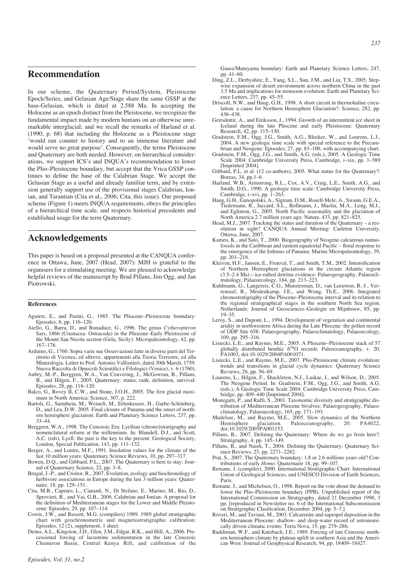#### **Recommendation**

In our scheme, the Quaternary Period/System, Pleistocene Epoch/Series, and Gelasian Age/Stage share the same GSSP at the base-Gelasian, which is dated at 2.588 Ma. In accepting the Holocene as an epoch distinct from the Pleistocene, we recognize the fundamental impact made by modern humans on an otherwise unremarkable interglacial; and we recall the remarks of Harland et al. (1990, p. 68) that including the Holocene as a Pleistocene stage 'would run counter to history and to an immense literature and would serve no great purpose'. Consequently, the terms Pleistocene and Quaternary are both needed. However, on hierarchical considerations, we support ICS's and INQUA's recommendation to lower the Plio–Pleistocene boundary, but accept that the Vrica GSSP continues to define the base of the Calabrian Stage. We accept the Gelasian Stage as a useful and already familiar term, and by extension generally support use of the provisional stages Calabrian, Ionian, and Tarantian (Cita et al., 2006; Cita, this issue). Our proposed scheme (Figure 1) meets INQUA requirements, obeys the principles of a hierarchical time scale, and respects historical precedents and established usage for the term Quaternary.

### **Acknowledgements**

This paper is based on a proposal presented at the CANQUA conference in Ottawa, June, 2007 (Head, 2007): MJH is grateful to the organisers for a stimulating meeting. We are pleased to acknowledge helpful reviews of the manuscript by Brad Pillans, Jim Ogg, and Jan Piotrowski.

#### **References**

- Aguirre, E., and Pasini, G., 1985. The Pliocene–Pleistocene boundary: Episodes, 8, pp. 116–120.
- Aiello, G., Barra, D., and Bonaduce, G., 1996. The genus *Cytheropteron* Sars, 1866 (Crustacea: Ostracoda) in the Pliocene–Early Pleistocene of the Mount San Nicola section (Gela, Sicily): Micropaleontology, 42, pp. 167–178.
- Arduino, G., 1760. Sopra varie sue Osservazioni fatte in diverse parti del Territorio di Vicenza, ed altrove, appartenenti alla Teoria Terrestre, ed alla Mineralogia. Letter to Prof. Antonio Vallisnieri, dated 30th March, 1759. Nuova Raccolta di Opuscoli Scientifici e Filologici (Venice), v. 6 (1760).
- Aubry, M.-P., Berggren, W.A., Van Couvering, J., McGowran, B., Pillans, B., and Hilgen, F., 2005. Quaternary: status, rank, definition, survival: Episodes, 28, pp. 118–120.
- Balco, G., Rovey II, C.W., and Stone, J.O.H., 2005. The first glacial maximum in North America: Science, 307, p. 222.
- Bartoli, G., Sarnthein, M., Weinelt, M., Erlenkeuser, H., Garbe-Schönberg, D., and Lea, D.W. 2005. Final closure of Panama and the onset of northern hemisphere glaciation: Earth and Planetary Science Letters, 237, pp. 33–44.
- Berggren, W.A., 1998. The Cenozoic Era: Lyellian (chrono)stratigraphy and nomenclatural reform at the millennium. In: Blundell, D.J., and Scott, A.C. (eds), Lyell: the past is the key to the present: Geological Society, London, Special Publication, 143, pp. 111–132.
- Berger, A., and Loutre, M.F., 1991. Insolation values for the climate of the last 10 million years: Quaternary Science Reviews, 10, pp. 297–317.
- Bowen, D.Q., and Gibbard, P.L., 2007. The Quaternary is here to stay: Journal of Quaternary Science, 22, pp. 3–8.
- Brugal, J.-P., and Croitor, R., 2007. Evolution, ecology and biochronology of herbivore associations in Europe during the last 3 million years: Quaternaire, 18, pp. 129–151.
- Cita, M.B., Capraro, L., Ciaranfi, N., Di Stefano, E., Marino, M., Rio, D., Sprovieri, R., and Vai, G.B., 2006. Calabrian and Ionian: A proposal for the definition of Mediterranean stages for the Lower and Middle Pleistocene: Episodes, 29, pp. 107–114.
- Cowie, J.W., and Bassett, M.G. (compilers) 1989. 1989 global stratigraphic chart with geochronometric and magnetostratigraphic calibration: Episodes,  $12(2)$ , supplement, 1 sheet.
- Deino, A.L., Kingston, J.D., Glen, J.M., Edgar, R.K., and Hill, A., 2006. Precessional forcing of lacustrine sedimentation in the late Cenozoic Chemeron Basin, Central Kenya Rift, and calibration of the
- Ding, Z.L., Derbyshire, E., Yang, S.L., Sun, J.M., and Liu, T.S., 2005. Stepwise expansion of desert environment across northern China in the past 3.5 Ma and implications for monsoon evolution: Earth and Planetary Science Letters, 237, pp. 45–55.
- Driscoll, N.W., and Haug, G.H., 1998. A short circuit in thermohaline circulation: a cause for Northern Hemisphere Glaciation?: Science, 282, pp. 436–438.
- Geirsdottir, A., and Eiriksson, J., 1994. Growth of an intermittent ice sheet in Iceland during the late Pliocene and early Pleistocene: Quaternary Research, 42, pp. 115–130.
- Gradstein, F.M., Ogg, J.G., Smith, A.G., Bleeker, W., and Lourens, L.J., 2004. A new geologic time scale with special reference to the Precambrian and Neogene: Episodes, 27, pp. 83–100, with accompanying chart.
- Gradstein, F.M., Ogg, J.G., and Smith, A.G. (eds.), 2005. A Geologic Time Scale 2004: Cambridge University Press, Cambridge, i–xix, pp. 1–589 [Imprinted 2004].
- Gibbard, P.L. et al. (12 co-authors), 2005. What status for the Quaternary?: Boreas, 34, pp.1–6.
- Harland, W.B., Armstrong, R.L., Cox, A.V., Craig, L.E., Smith, A.G., and Smith, D.G., 1990. A geologic time scale: Cambridge University Press, Cambridge, i–xvi, pp. 1–263.
- Haug, G.H., Ganopolski, A., Sigman, D.M., Rosell-Mele, A., Swann, G.E.A., Tiedemann, R., Jaccard, S.L., Bollmann, J., Maslin, M.A., Leng, M.J., and Eglinton, G., 2005. North Pacific seasonality and the glaciation of North America 2.7 million years ago: Nature, 433, pp. 821–825.
- Head, M.J., 2007. Tracking the status and duration of the Quaternary a resolution in sight? CANQUA Annual Meeting: Carleton University, Ottawa, June, 2007.
- Kameo, K., and Sato, T., 2000. Biogeography of Neogene calcareous nannofossils in the Caribbean and eastern equatorial Pacific – floral response to the emergence of the Isthmus of Panama: Marine Micropaleontology, 39, pp. 201–218.
- Kleiven, H.F., Jansen, E., Fronval, T., and Smith, T.M., 2002. Intensification of Northern Hemisphere glaciations in the circum Atlantic region (3.5–2.4 Ma)—ice-rafted detritus evidence: Palaeogeography, Palaeoclimatology, Palaeoecology, 184, pp. 213–223.
- Kuhlmann, G., Langereis, C.G., Munsterman, D., van Leeuwen, R.-J., Verreussel, R., Meulenkamp, J.E., and Wong, Th.E., 2006. Integrated chronostratigraphy of the Pliocene–Pleistocene interval and its relation to the regional stratigraphical stages in the southern North Sea region. Netherlands: Journal of Geosciences–Geologie en Mijnbouw, 85, pp.  $19-35.$
- Leroy, S., and Dupont, L., 1994. Development of vegetation and continental aridity in northwestern Africa during the Late Pliocene: the pollen record of ODP Site 658: Palaeogeography, Palaeoclimatology, Palaeoecology, 109, pp. 295–316.
- Lisiecki, L.E., and Raymo, M.E., 2005. A Pliocene–Pleistocene stack of 57 globally distributed benthic  $\delta^{18}O$  records: Paleoceanography, v. 20, PA1003, doi:10.1029/2004PA001071.
- Lisiecki, L.E., and Raymo, M.E., 2007. Plio-Pleistocene climate evolution: trends and transitions in glacial cycle dynamics: Quaternary Science Reviews, 26, pp. 56–69.
- Lourens, L., Hilgen, F., Shackleton, N.J., Laskar, J., and Wilson, D., 2005. The Neogene Period. In: Gradstein, F.M., Ogg, J.G., and Smith, A.G. (eds.), A Geologic Time Scale 2004: Cambridge University Press, Cambridge, pp. 409–440 [Imprinted 2004].
- Monegatti, P., and Raffi, S., 2001. Taxonomic diversity and stratigraphic distribution of Mediterranean Pliocene bivalves: Palaeogeography, Palaeoclimatology, Palaeoecology, 165, pp. 171–193.
- Mudelsee, M., and Raymo, M.E., 2005. Slow dynamics of the Northern Hemisphere glaciation. Paleoceanography, 20: PA4022, doi:10.1029/2005PA001153.
- Pillans, B., 2007. Defining the Quaternary: Where do we go from here?: Stratigraphy, 4, pp. 145–149.
- Pillans, B., and Naish, T., 2004. Defining the Quaternary: Quaternary Science Reviews, 23, pp. 2271–2282.
- Prat, S., 2007. The Quaternary boundary: 1.8 or 2.6 millions years old? Contributions of early *Homo*: Quaternaire 18, pp. 99–107.
- Remane, J. (compiler), 2000. International Stratigraphic Chart: International Union of Geological Sciences, and UNESCO Division of Earth Sciences, Paris.
- Remane, J., and Michelsen, O., 1998. Report on the vote about the demand to lower the Plio–Pleistocene boundary (PPB). Unpublished report of the International Commission on Stratigraphy, dated 21 December 1998, 3 pp. [reproduced in Newsletter no. 6 of the International Subcommission on Stratigraphic Clasification, December 2004, pp. 5–7.]
- Roveri, M., and Taviani, M., 2003. Calcarenite and sapropel deposition in the Mediterranean Pliocene: shallow- and deep-water record of astronomically driven climatic events: Terra Nova, 15, pp. 279–286.
- Ruddiman, W.F., and Kutzbach, J.E., 1989. Forcing of late Cenozoic northern hemisphere climate by plateau uplift in southern Asia and the American West: Journal of Geophysical Research, 94, pp. 18409–18427.